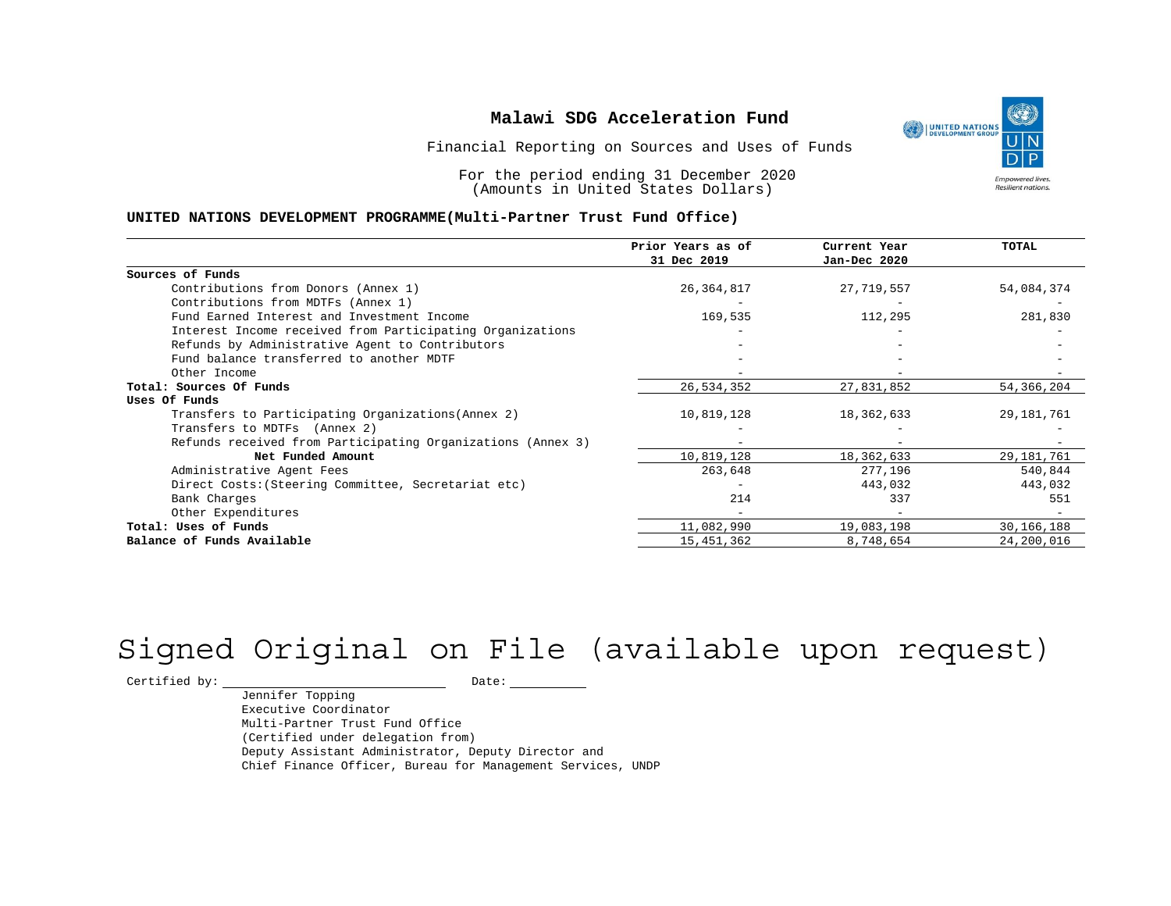

Financial Reporting on Sources and Uses of Funds

For the period ending 31 December 2020 (Amounts in United States Dollars)

#### **UNITED NATIONS DEVELOPMENT PROGRAMME(Multi-Partner Trust Fund Office)**

|                                                             | Prior Years as of | Current Year | <b>TOTAL</b> |
|-------------------------------------------------------------|-------------------|--------------|--------------|
|                                                             | 31 Dec 2019       | Jan-Dec 2020 |              |
| Sources of Funds                                            |                   |              |              |
| Contributions from Donors (Annex 1)                         | 26, 364, 817      | 27,719,557   | 54,084,374   |
| Contributions from MDTFs (Annex 1)                          |                   |              |              |
| Fund Earned Interest and Investment Income                  | 169,535           | 112,295      | 281,830      |
| Interest Income received from Participating Organizations   |                   |              |              |
| Refunds by Administrative Agent to Contributors             |                   |              |              |
| Fund balance transferred to another MDTF                    |                   |              |              |
| Other Income                                                |                   |              |              |
| Total: Sources Of Funds                                     | 26,534,352        | 27,831,852   | 54,366,204   |
| Uses Of Funds                                               |                   |              |              |
| Transfers to Participating Organizations (Annex 2)          | 10,819,128        | 18,362,633   | 29, 181, 761 |
| Transfers to MDTFs (Annex 2)                                |                   |              |              |
| Refunds received from Participating Organizations (Annex 3) |                   |              |              |
| Net Funded Amount                                           | 10,819,128        | 18,362,633   | 29, 181, 761 |
| Administrative Agent Fees                                   | 263,648           | 277,196      | 540,844      |
| Direct Costs: (Steering Committee, Secretariat etc)         |                   | 443,032      | 443,032      |
| Bank Charges                                                | 214               | 337          | 551          |
| Other Expenditures                                          |                   |              |              |
| Total: Uses of Funds                                        | 11,082,990        | 19,083,198   | 30, 166, 188 |
| Balance of Funds Available                                  | 15, 451, 362      | 8,748,654    | 24,200,016   |

# Signed Original on File (available upon request)

 $\begin{tabular}{c} \multicolumn{2}{c}{{\texttt{Certified by:}}}} \quad \quad \texttt{Date:} \end{tabular}$ 

Jennifer Topping Executive Coordinator Multi-Partner Trust Fund Office (Certified under delegation from) Deputy Assistant Administrator, Deputy Director and Chief Finance Officer, Bureau for Management Services, UNDP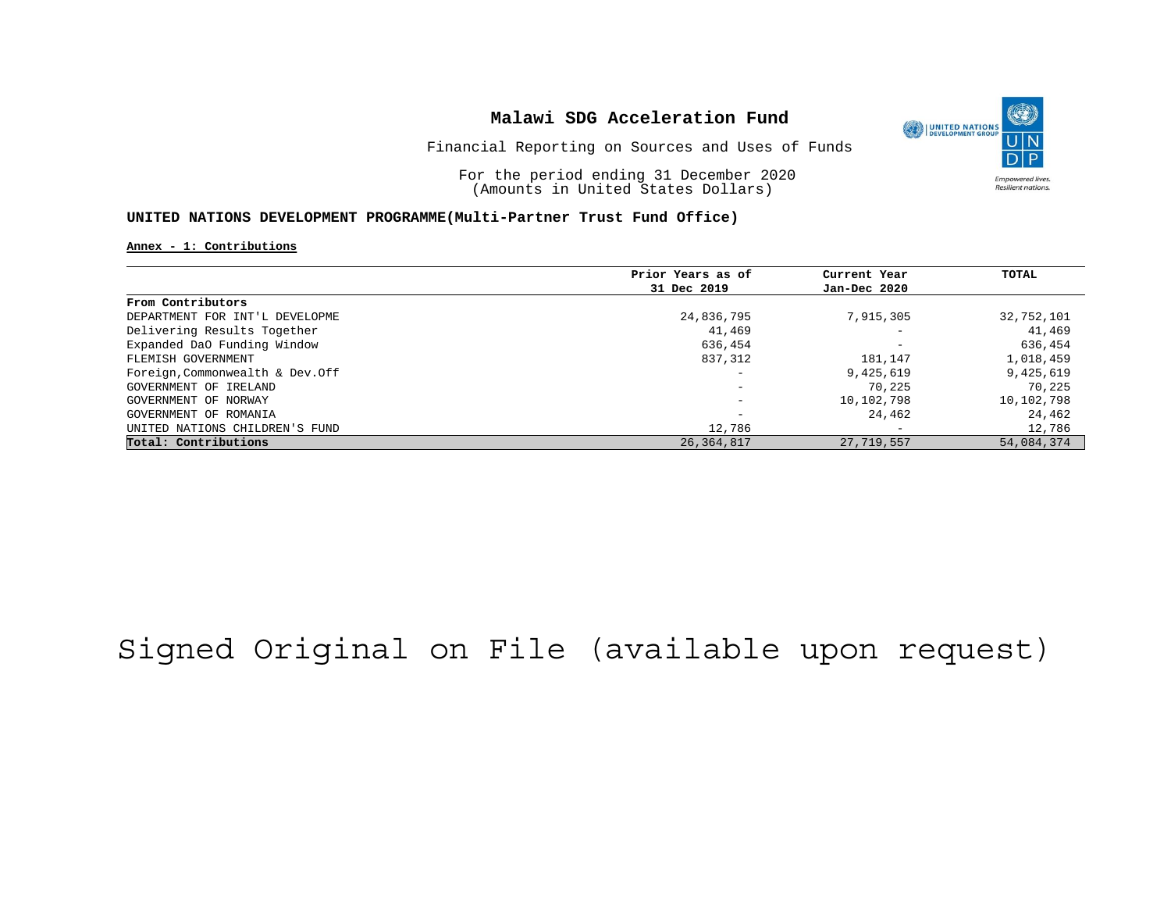

Financial Reporting on Sources and Uses of Funds

For the period ending 31 December 2020 (Amounts in United States Dollars)

### **UNITED NATIONS DEVELOPMENT PROGRAMME(Multi-Partner Trust Fund Office)**

### **Annex - 1: Contributions**

|                                  | Prior Years as of | Current Year             | TOTAL      |
|----------------------------------|-------------------|--------------------------|------------|
|                                  | 31 Dec 2019       | Jan-Dec 2020             |            |
| From Contributors                |                   |                          |            |
| DEPARTMENT FOR INT'L DEVELOPME   | 24,836,795        | 7,915,305                | 32,752,101 |
| Delivering Results Together      | 41,469            | $\overline{\phantom{0}}$ | 41,469     |
| Expanded DaO Funding Window      | 636,454           | $\overline{\phantom{0}}$ | 636,454    |
| FLEMISH GOVERNMENT               | 837,312           | 181,147                  | 1,018,459  |
| Foreign, Commonwealth & Dev. Off |                   | 9,425,619                | 9,425,619  |
| GOVERNMENT OF IRELAND            | -                 | 70,225                   | 70,225     |
| GOVERNMENT OF NORWAY             |                   | 10,102,798               | 10,102,798 |
| GOVERNMENT OF ROMANIA            |                   | 24,462                   | 24,462     |
| UNITED NATIONS CHILDREN'S FUND   | 12,786            | $\overline{\phantom{0}}$ | 12,786     |
| Total: Contributions             | 26, 364, 817      | 27,719,557               | 54,084,374 |

## Signed Original on File (available upon request)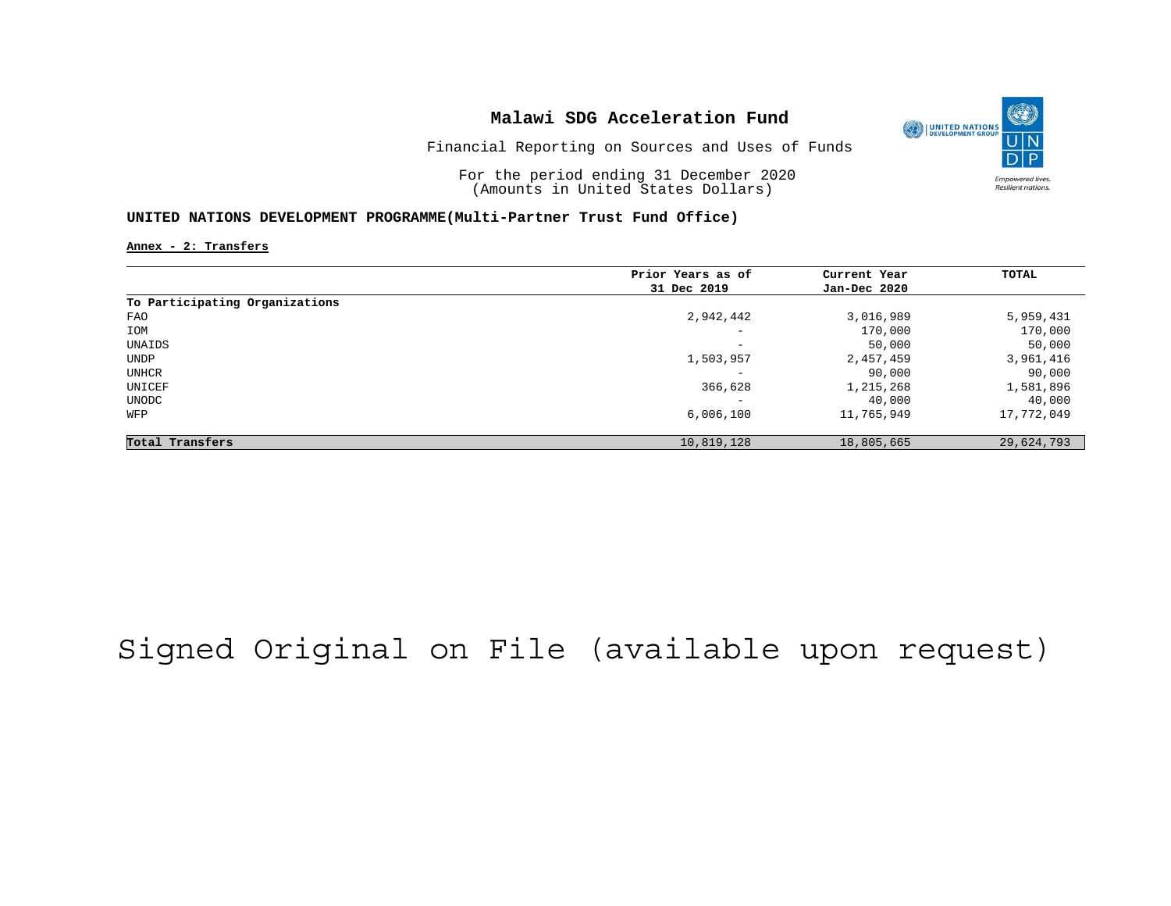

Financial Reporting on Sources and Uses of Funds

For the period ending 31 December 2020 (Amounts in United States Dollars)

#### **UNITED NATIONS DEVELOPMENT PROGRAMME(Multi-Partner Trust Fund Office)**

**Annex - 2: Transfers**

|                                | Prior Years as of | Current Year | TOTAL      |
|--------------------------------|-------------------|--------------|------------|
|                                | 31 Dec 2019       | Jan-Dec 2020 |            |
| To Participating Organizations |                   |              |            |
| <b>FAO</b>                     | 2,942,442         | 3,016,989    | 5,959,431  |
| IOM                            | -                 | 170,000      | 170,000    |
| UNAIDS                         | -                 | 50,000       | 50,000     |
| UNDP                           | 1,503,957         | 2,457,459    | 3,961,416  |
| UNHCR                          | -                 | 90,000       | 90,000     |
| UNICEF                         | 366,628           | 1,215,268    | 1,581,896  |
| UNODC                          |                   | 40,000       | 40,000     |
| WFP                            | 6,006,100         | 11,765,949   | 17,772,049 |
| Total Transfers                | 10,819,128        | 18,805,665   | 29,624,793 |

## Signed Original on File (available upon request)